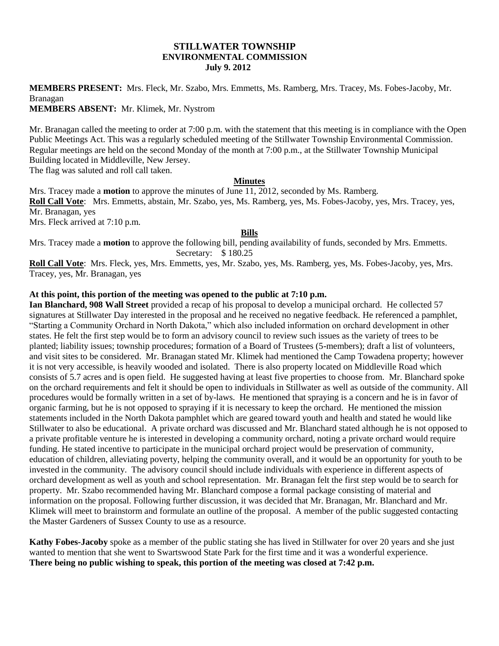### **STILLWATER TOWNSHIP ENVIRONMENTAL COMMISSION July 9. 2012**

**MEMBERS PRESENT:** Mrs. Fleck, Mr. Szabo, Mrs. Emmetts, Ms. Ramberg, Mrs. Tracey, Ms. Fobes-Jacoby, Mr. Branagan

**MEMBERS ABSENT:** Mr. Klimek, Mr. Nystrom

Mr. Branagan called the meeting to order at 7:00 p.m. with the statement that this meeting is in compliance with the Open Public Meetings Act. This was a regularly scheduled meeting of the Stillwater Township Environmental Commission. Regular meetings are held on the second Monday of the month at 7:00 p.m., at the Stillwater Township Municipal Building located in Middleville, New Jersey.

The flag was saluted and roll call taken.

#### **Minutes**

Mrs. Tracey made a **motion** to approve the minutes of June 11, 2012, seconded by Ms. Ramberg. **Roll Call Vote**: Mrs. Emmetts, abstain, Mr. Szabo, yes, Ms. Ramberg, yes, Ms. Fobes-Jacoby, yes, Mrs. Tracey, yes, Mr. Branagan, yes Mrs. Fleck arrived at 7:10 p.m.

#### **Bills**

Mrs. Tracey made a **motion** to approve the following bill, pending availability of funds, seconded by Mrs. Emmetts. Secretary: \$180.25

**Roll Call Vote**: Mrs. Fleck, yes, Mrs. Emmetts, yes, Mr. Szabo, yes, Ms. Ramberg, yes, Ms. Fobes-Jacoby, yes, Mrs. Tracey, yes, Mr. Branagan, yes

#### **At this point, this portion of the meeting was opened to the public at 7:10 p.m.**

**Ian Blanchard, 908 Wall Street** provided a recap of his proposal to develop a municipal orchard. He collected 57 signatures at Stillwater Day interested in the proposal and he received no negative feedback. He referenced a pamphlet, "Starting a Community Orchard in North Dakota," which also included information on orchard development in other states. He felt the first step would be to form an advisory council to review such issues as the variety of trees to be planted; liability issues; township procedures; formation of a Board of Trustees (5-members); draft a list of volunteers, and visit sites to be considered. Mr. Branagan stated Mr. Klimek had mentioned the Camp Towadena property; however it is not very accessible, is heavily wooded and isolated. There is also property located on Middleville Road which consists of 5.7 acres and is open field. He suggested having at least five properties to choose from. Mr. Blanchard spoke on the orchard requirements and felt it should be open to individuals in Stillwater as well as outside of the community. All procedures would be formally written in a set of by-laws. He mentioned that spraying is a concern and he is in favor of organic farming, but he is not opposed to spraying if it is necessary to keep the orchard. He mentioned the mission statements included in the North Dakota pamphlet which are geared toward youth and health and stated he would like Stillwater to also be educational. A private orchard was discussed and Mr. Blanchard stated although he is not opposed to a private profitable venture he is interested in developing a community orchard, noting a private orchard would require funding. He stated incentive to participate in the municipal orchard project would be preservation of community, education of children, alleviating poverty, helping the community overall, and it would be an opportunity for youth to be invested in the community. The advisory council should include individuals with experience in different aspects of orchard development as well as youth and school representation. Mr. Branagan felt the first step would be to search for property. Mr. Szabo recommended having Mr. Blanchard compose a formal package consisting of material and information on the proposal. Following further discussion, it was decided that Mr. Branagan, Mr. Blanchard and Mr. Klimek will meet to brainstorm and formulate an outline of the proposal. A member of the public suggested contacting the Master Gardeners of Sussex County to use as a resource.

**Kathy Fobes-Jacoby** spoke as a member of the public stating she has lived in Stillwater for over 20 years and she just wanted to mention that she went to Swartswood State Park for the first time and it was a wonderful experience. **There being no public wishing to speak, this portion of the meeting was closed at 7:42 p.m.**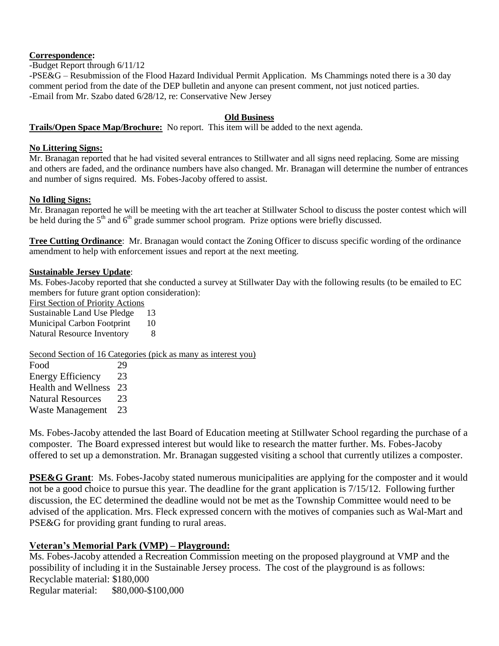## **Correspondence:**

-Budget Report through 6/11/12

-PSE&G – Resubmission of the Flood Hazard Individual Permit Application. Ms Chammings noted there is a 30 day comment period from the date of the DEP bulletin and anyone can present comment, not just noticed parties. -Email from Mr. Szabo dated 6/28/12, re: Conservative New Jersey

## **Old Business**

## **Trails/Open Space Map/Brochure:** No report. This item will be added to the next agenda.

### **No Littering Signs:**

Mr. Branagan reported that he had visited several entrances to Stillwater and all signs need replacing. Some are missing and others are faded, and the ordinance numbers have also changed. Mr. Branagan will determine the number of entrances and number of signs required. Ms. Fobes-Jacoby offered to assist.

### **No Idling Signs:**

Mr. Branagan reported he will be meeting with the art teacher at Stillwater School to discuss the poster contest which will be held during the  $5<sup>th</sup>$  and  $6<sup>th</sup>$  grade summer school program. Prize options were briefly discussed.

**Tree Cutting Ordinance**: Mr. Branagan would contact the Zoning Officer to discuss specific wording of the ordinance amendment to help with enforcement issues and report at the next meeting.

### **Sustainable Jersey Update**:

Ms. Fobes-Jacoby reported that she conducted a survey at Stillwater Day with the following results (to be emailed to EC members for future grant option consideration):

First Section of Priority Actions

Sustainable Land Use Pledge 13 Municipal Carbon Footprint 10

Natural Resource Inventory 8

Second Section of 16 Categories (pick as many as interest you)

| Food                       | 29 |
|----------------------------|----|
| <b>Energy Efficiency</b>   | 23 |
| <b>Health and Wellness</b> | 23 |
| <b>Natural Resources</b>   | 23 |
| Waste Management           | 23 |

Ms. Fobes-Jacoby attended the last Board of Education meeting at Stillwater School regarding the purchase of a composter. The Board expressed interest but would like to research the matter further. Ms. Fobes-Jacoby offered to set up a demonstration. Mr. Branagan suggested visiting a school that currently utilizes a composter.

**PSE&G Grant**: Ms. Fobes-Jacoby stated numerous municipalities are applying for the composter and it would not be a good choice to pursue this year. The deadline for the grant application is 7/15/12. Following further discussion, the EC determined the deadline would not be met as the Township Committee would need to be advised of the application. Mrs. Fleck expressed concern with the motives of companies such as Wal-Mart and PSE&G for providing grant funding to rural areas.

# **Veteran's Memorial Park (VMP) – Playground:**

Ms. Fobes-Jacoby attended a Recreation Commission meeting on the proposed playground at VMP and the possibility of including it in the Sustainable Jersey process. The cost of the playground is as follows: Recyclable material: \$180,000 Regular material: \$80,000-\$100,000